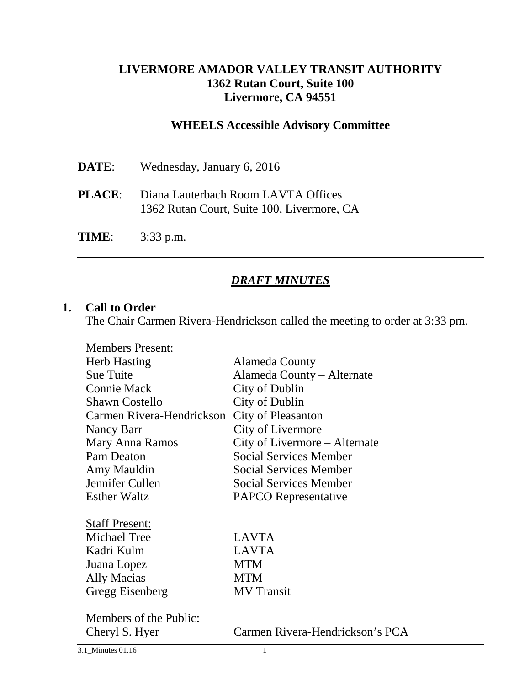### **LIVERMORE AMADOR VALLEY TRANSIT AUTHORITY 1362 Rutan Court, Suite 100 Livermore, CA 94551**

#### **WHEELS Accessible Advisory Committee**

| DATE: | Wednesday, January 6, 2016                                                                      |
|-------|-------------------------------------------------------------------------------------------------|
|       | <b>PLACE:</b> Diana Lauterbach Room LAVTA Offices<br>1362 Rutan Court, Suite 100, Livermore, CA |
| TIME: | $3:33$ p.m.                                                                                     |

### *DRAFT MINUTES*

#### **1. Call to Order**

The Chair Carmen Rivera-Hendrickson called the meeting to order at 3:33 pm.

| <b>Members Present:</b>   |                                 |
|---------------------------|---------------------------------|
| <b>Herb Hasting</b>       | Alameda County                  |
| <b>Sue Tuite</b>          | Alameda County – Alternate      |
| <b>Connie Mack</b>        | City of Dublin                  |
| <b>Shawn Costello</b>     | City of Dublin                  |
| Carmen Rivera-Hendrickson | <b>City of Pleasanton</b>       |
| Nancy Barr                | City of Livermore               |
| <b>Mary Anna Ramos</b>    | City of Livermore - Alternate   |
| Pam Deaton                | <b>Social Services Member</b>   |
| Amy Mauldin               | <b>Social Services Member</b>   |
| Jennifer Cullen           | <b>Social Services Member</b>   |
| <b>Esther Waltz</b>       | <b>PAPCO</b> Representative     |
|                           |                                 |
| <b>Staff Present:</b>     |                                 |
| <b>Michael Tree</b>       | <b>LAVTA</b>                    |
| Kadri Kulm                | <b>LAVTA</b>                    |
| Juana Lopez               | <b>MTM</b>                      |
| Ally Macias               | <b>MTM</b>                      |
| Gregg Eisenberg           | <b>MV</b> Transit               |
|                           |                                 |
| Members of the Public:    |                                 |
| Cheryl S. Hyer            | Carmen Rivera-Hendrickson's PCA |
| 3.1 Minutes 01.16         | 1                               |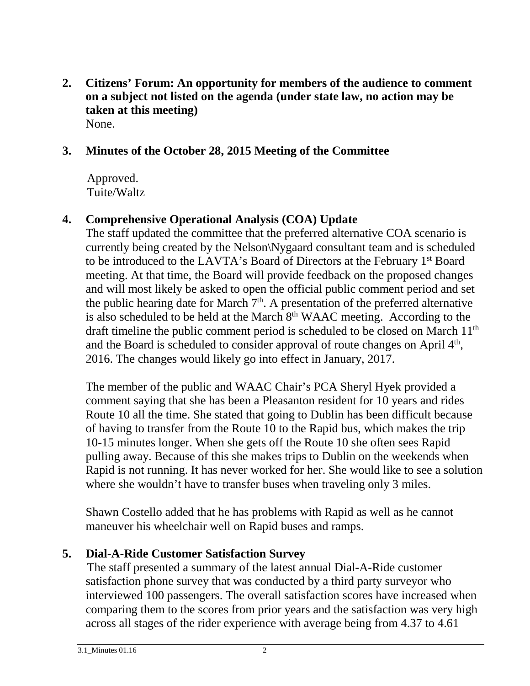**2. Citizens' Forum: An opportunity for members of the audience to comment on a subject not listed on the agenda (under state law, no action may be taken at this meeting)** None.

### **3. Minutes of the October 28, 2015 Meeting of the Committee**

 Approved. Tuite/Waltz

## **4. Comprehensive Operational Analysis (COA) Update**

The staff updated the committee that the preferred alternative COA scenario is currently being created by the Nelson\Nygaard consultant team and is scheduled to be introduced to the LAVTA's Board of Directors at the February 1st Board meeting. At that time, the Board will provide feedback on the proposed changes and will most likely be asked to open the official public comment period and set the public hearing date for March  $7<sup>th</sup>$ . A presentation of the preferred alternative is also scheduled to be held at the March 8<sup>th</sup> WAAC meeting. According to the draft timeline the public comment period is scheduled to be closed on March 11<sup>th</sup> and the Board is scheduled to consider approval of route changes on April  $4<sup>th</sup>$ , 2016. The changes would likely go into effect in January, 2017.

The member of the public and WAAC Chair's PCA Sheryl Hyek provided a comment saying that she has been a Pleasanton resident for 10 years and rides Route 10 all the time. She stated that going to Dublin has been difficult because of having to transfer from the Route 10 to the Rapid bus, which makes the trip 10-15 minutes longer. When she gets off the Route 10 she often sees Rapid pulling away. Because of this she makes trips to Dublin on the weekends when Rapid is not running. It has never worked for her. She would like to see a solution where she wouldn't have to transfer buses when traveling only 3 miles.

Shawn Costello added that he has problems with Rapid as well as he cannot maneuver his wheelchair well on Rapid buses and ramps.

## **5. Dial-A-Ride Customer Satisfaction Survey**

The staff presented a summary of the latest annual Dial-A-Ride customer satisfaction phone survey that was conducted by a third party surveyor who interviewed 100 passengers. The overall satisfaction scores have increased when comparing them to the scores from prior years and the satisfaction was very high across all stages of the rider experience with average being from 4.37 to 4.61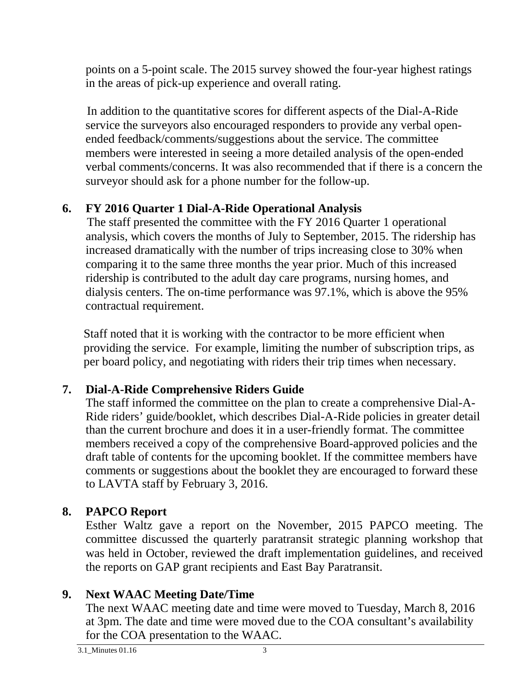points on a 5-point scale. The 2015 survey showed the four-year highest ratings in the areas of pick-up experience and overall rating.

In addition to the quantitative scores for different aspects of the Dial-A-Ride service the surveyors also encouraged responders to provide any verbal openended feedback/comments/suggestions about the service. The committee members were interested in seeing a more detailed analysis of the open-ended verbal comments/concerns. It was also recommended that if there is a concern the surveyor should ask for a phone number for the follow-up.

## **6. FY 2016 Quarter 1 Dial-A-Ride Operational Analysis**

The staff presented the committee with the FY 2016 Quarter 1 operational analysis, which covers the months of July to September, 2015. The ridership has increased dramatically with the number of trips increasing close to 30% when comparing it to the same three months the year prior. Much of this increased ridership is contributed to the adult day care programs, nursing homes, and dialysis centers. The on-time performance was 97.1%, which is above the 95% contractual requirement.

Staff noted that it is working with the contractor to be more efficient when providing the service. For example, limiting the number of subscription trips, as per board policy, and negotiating with riders their trip times when necessary.

## **7. Dial-A-Ride Comprehensive Riders Guide**

The staff informed the committee on the plan to create a comprehensive Dial-A-Ride riders' guide/booklet, which describes Dial-A-Ride policies in greater detail than the current brochure and does it in a user-friendly format. The committee members received a copy of the comprehensive Board-approved policies and the draft table of contents for the upcoming booklet. If the committee members have comments or suggestions about the booklet they are encouraged to forward these to LAVTA staff by February 3, 2016.

# **8. PAPCO Report**

Esther Waltz gave a report on the November, 2015 PAPCO meeting. The committee discussed the quarterly paratransit strategic planning workshop that was held in October, reviewed the draft implementation guidelines, and received the reports on GAP grant recipients and East Bay Paratransit.

## **9. Next WAAC Meeting Date/Time**

The next WAAC meeting date and time were moved to Tuesday, March 8, 2016 at 3pm. The date and time were moved due to the COA consultant's availability for the COA presentation to the WAAC.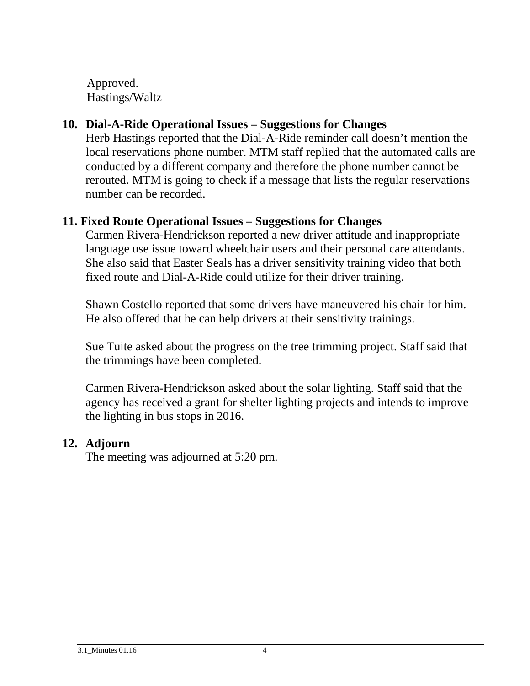Approved. Hastings/Waltz

## **10. Dial-A-Ride Operational Issues – Suggestions for Changes**

Herb Hastings reported that the Dial-A-Ride reminder call doesn't mention the local reservations phone number. MTM staff replied that the automated calls are conducted by a different company and therefore the phone number cannot be rerouted. MTM is going to check if a message that lists the regular reservations number can be recorded.

### **11. Fixed Route Operational Issues – Suggestions for Changes**

Carmen Rivera-Hendrickson reported a new driver attitude and inappropriate language use issue toward wheelchair users and their personal care attendants. She also said that Easter Seals has a driver sensitivity training video that both fixed route and Dial-A-Ride could utilize for their driver training.

Shawn Costello reported that some drivers have maneuvered his chair for him. He also offered that he can help drivers at their sensitivity trainings.

Sue Tuite asked about the progress on the tree trimming project. Staff said that the trimmings have been completed.

Carmen Rivera-Hendrickson asked about the solar lighting. Staff said that the agency has received a grant for shelter lighting projects and intends to improve the lighting in bus stops in 2016.

### **12. Adjourn**

The meeting was adjourned at 5:20 pm.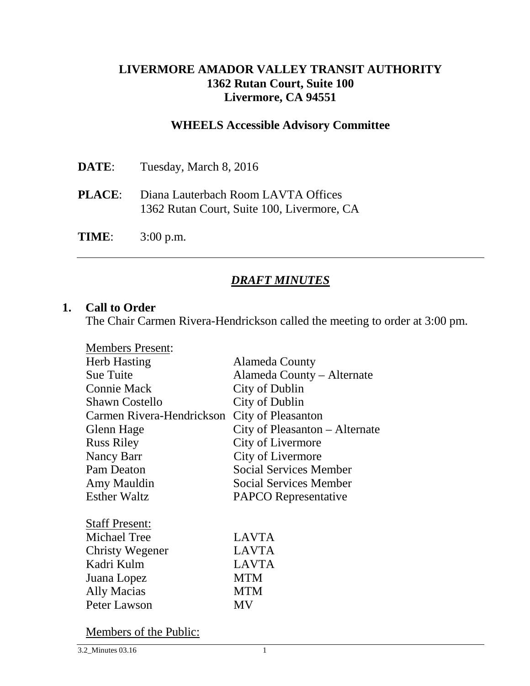### **LIVERMORE AMADOR VALLEY TRANSIT AUTHORITY 1362 Rutan Court, Suite 100 Livermore, CA 94551**

#### **WHEELS Accessible Advisory Committee**

| DATE:         | Tuesday, March 8, 2016                                                            |
|---------------|-----------------------------------------------------------------------------------|
| <b>PLACE:</b> | Diana Lauterbach Room LAVTA Offices<br>1362 Rutan Court, Suite 100, Livermore, CA |
| TIME:         | $3:00$ p.m.                                                                       |

### *DRAFT MINUTES*

#### **1. Call to Order**

The Chair Carmen Rivera-Hendrickson called the meeting to order at 3:00 pm.

| Alameda County                 |
|--------------------------------|
| Alameda County – Alternate     |
| City of Dublin                 |
| City of Dublin                 |
| <b>City of Pleasanton</b>      |
| City of Pleasanton – Alternate |
| City of Livermore              |
| City of Livermore              |
| <b>Social Services Member</b>  |
| Social Services Member         |
| <b>PAPCO</b> Representative    |
|                                |
| <b>LAVTA</b>                   |
| <b>LAVTA</b>                   |
| <b>LAVTA</b>                   |
| <b>MTM</b>                     |
| <b>MTM</b>                     |
| <b>MV</b>                      |
|                                |

Members of the Public: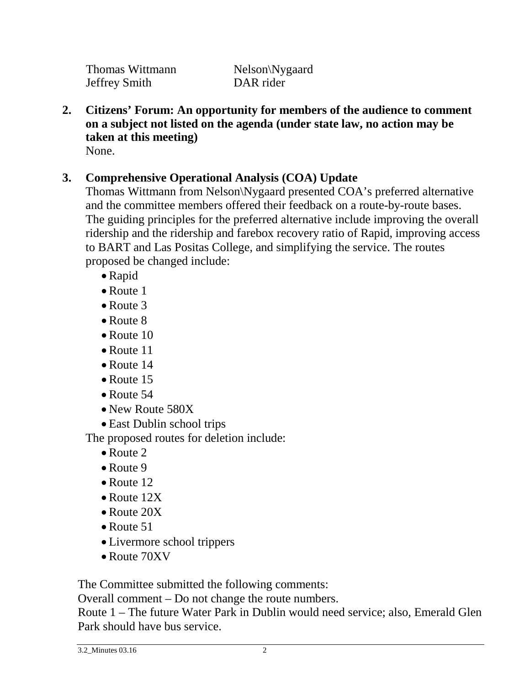Thomas Wittmann Melson\Nygaard<br>Jeffrey Smith DAR rider Jeffrey Smith

**2. Citizens' Forum: An opportunity for members of the audience to comment on a subject not listed on the agenda (under state law, no action may be taken at this meeting)** None.

## **3. Comprehensive Operational Analysis (COA) Update**

Thomas Wittmann from Nelson\Nygaard presented COA's preferred alternative and the committee members offered their feedback on a route-by-route bases. The guiding principles for the preferred alternative include improving the overall ridership and the ridership and farebox recovery ratio of Rapid, improving access to BART and Las Positas College, and simplifying the service. The routes proposed be changed include:

- Rapid
- Route 1
- Route 3
- Route 8
- Route 10
- Route 11
- Route 14
- Route 15
- Route 54
- New Route 580X
- East Dublin school trips

The proposed routes for deletion include:

- Route 2
- Route 9
- Route 12
- Route 12X
- Route 20X
- Route 51
- Livermore school trippers
- Route 70XV

The Committee submitted the following comments:

Overall comment – Do not change the route numbers.

Route 1 – The future Water Park in Dublin would need service; also, Emerald Glen Park should have bus service.